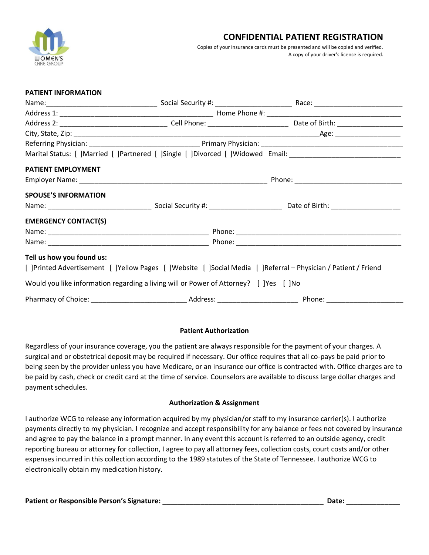

### **CONFIDENTIAL PATIENT REGISTRATION**

 Copies of your insurance cards must be presented and will be copied and verified. A copy of your driver's license is required.

| PATIENT INFORMATION                                                                   |  |                                                                                                                |
|---------------------------------------------------------------------------------------|--|----------------------------------------------------------------------------------------------------------------|
|                                                                                       |  |                                                                                                                |
|                                                                                       |  |                                                                                                                |
|                                                                                       |  |                                                                                                                |
|                                                                                       |  |                                                                                                                |
|                                                                                       |  |                                                                                                                |
|                                                                                       |  | Marital Status: [ ]Married [ ]Partnered [ ]Single [ ]Divorced [ ]Widowed Email: ______________________________ |
| PATIENT EMPLOYMENT                                                                    |  |                                                                                                                |
|                                                                                       |  |                                                                                                                |
| <b>SPOUSE'S INFORMATION</b>                                                           |  |                                                                                                                |
|                                                                                       |  |                                                                                                                |
| <b>EMERGENCY CONTACT(S)</b>                                                           |  |                                                                                                                |
|                                                                                       |  |                                                                                                                |
|                                                                                       |  |                                                                                                                |
| Tell us how you found us:                                                             |  |                                                                                                                |
|                                                                                       |  | [ ]Printed Advertisement [ ]Yellow Pages [ ]Website [ ]Social Media [ ]Referral - Physician / Patient / Friend |
| Would you like information regarding a living will or Power of Attorney? [ ]Yes [ ]No |  |                                                                                                                |
|                                                                                       |  |                                                                                                                |

#### **Patient Authorization**

Regardless of your insurance coverage, you the patient are always responsible for the payment of your charges. A surgical and or obstetrical deposit may be required if necessary. Our office requires that all co-pays be paid prior to being seen by the provider unless you have Medicare, or an insurance our office is contracted with. Office charges are to be paid by cash, check or credit card at the time of service. Counselors are available to discuss large dollar charges and payment schedules.

#### **Authorization & Assignment**

I authorize WCG to release any information acquired by my physician/or staff to my insurance carrier(s). I authorize payments directly to my physician. I recognize and accept responsibility for any balance or fees not covered by insurance and agree to pay the balance in a prompt manner. In any event this account is referred to an outside agency, credit reporting bureau or attorney for collection, I agree to pay all attorney fees, collection costs, court costs and/or other expenses incurred in this collection according to the 1989 statutes of the State of Tennessee. I authorize WCG to electronically obtain my medication history.